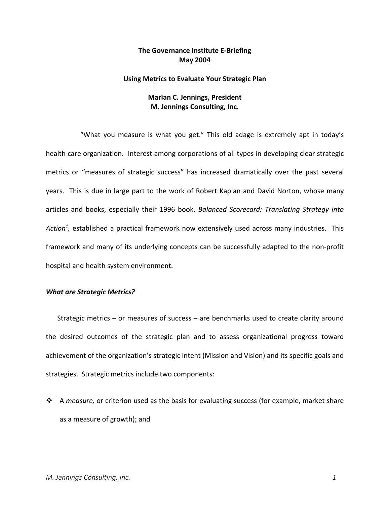# **The Governance Institute E‐Briefing May 2004**

### **Using Metrics to Evaluate Your Strategic Plan**

# **Marian C. Jennings, President M. Jennings Consulting, Inc.**

"What you measure is what you get." This old adage is extremely apt in today's health care organization. Interest among corporations of all types in developing clear strategic metrics or "measures of strategic success" has increased dramatically over the past several years. This is due in large part to the work of Robert Kaplan and David Norton, whose many articles and books, especially their 1996 book, *Balanced Scorecard: Translating Strategy into Action1,* established a practical framework now extensively used across many industries. This framework and many of its underlying concepts can be successfully adapted to the non‐profit hospital and health system environment.

### *What are Strategic Metrics?*

Strategic metrics – or measures of success – are benchmarks used to create clarity around the desired outcomes of the strategic plan and to assess organizational progress toward achievement of the organization's strategic intent (Mission and Vision) and its specific goals and strategies. Strategic metrics include two components:

 A *measure,* or criterion used as the basis for evaluating success (for example, market share as a measure of growth); and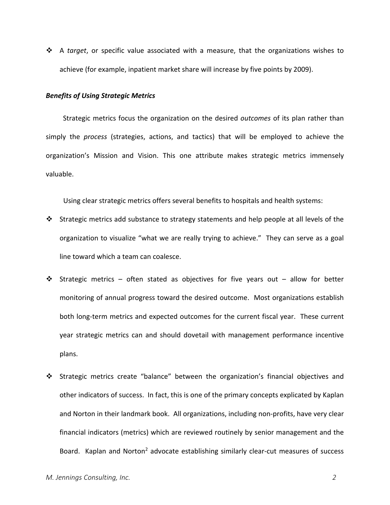A *target*, or specific value associated with a measure, that the organizations wishes to achieve (for example, inpatient market share will increase by five points by 2009).

### *Benefits of Using Strategic Metrics*

Strategic metrics focus the organization on the desired *outcomes* of its plan rather than simply the *process* (strategies, actions, and tactics) that will be employed to achieve the organization's Mission and Vision. This one attribute makes strategic metrics immensely valuable.

Using clear strategic metrics offers several benefits to hospitals and health systems:

- $\mathbf{\hat{P}}$  Strategic metrics add substance to strategy statements and help people at all levels of the organization to visualize "what we are really trying to achieve." They can serve as a goal line toward which a team can coalesce.
- $\div$  Strategic metrics often stated as objectives for five years out allow for better monitoring of annual progress toward the desired outcome. Most organizations establish both long‐term metrics and expected outcomes for the current fiscal year. These current year strategic metrics can and should dovetail with management performance incentive plans.
- Strategic metrics create "balance" between the organization's financial objectives and other indicators of success. In fact, this is one of the primary concepts explicated by Kaplan and Norton in their landmark book. All organizations, including non‐profits, have very clear financial indicators (metrics) which are reviewed routinely by senior management and the Board. Kaplan and Norton<sup>2</sup> advocate establishing similarly clear-cut measures of success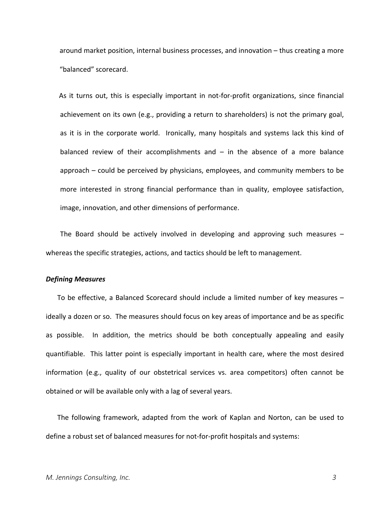around market position, internal business processes, and innovation – thus creating a more "balanced" scorecard.

 As it turns out, this is especially important in not‐for‐profit organizations, since financial achievement on its own (e.g., providing a return to shareholders) is not the primary goal, as it is in the corporate world. Ironically, many hospitals and systems lack this kind of balanced review of their accomplishments and  $-$  in the absence of a more balance approach – could be perceived by physicians, employees, and community members to be more interested in strong financial performance than in quality, employee satisfaction, image, innovation, and other dimensions of performance.

The Board should be actively involved in developing and approving such measures  $$ whereas the specific strategies, actions, and tactics should be left to management.

#### *Defining Measures*

To be effective, a Balanced Scorecard should include a limited number of key measures – ideally a dozen or so. The measures should focus on key areas of importance and be as specific as possible. In addition, the metrics should be both conceptually appealing and easily quantifiable. This latter point is especially important in health care, where the most desired information (e.g., quality of our obstetrical services vs. area competitors) often cannot be obtained or will be available only with a lag of several years.

The following framework, adapted from the work of Kaplan and Norton, can be used to define a robust set of balanced measures for not‐for‐profit hospitals and systems: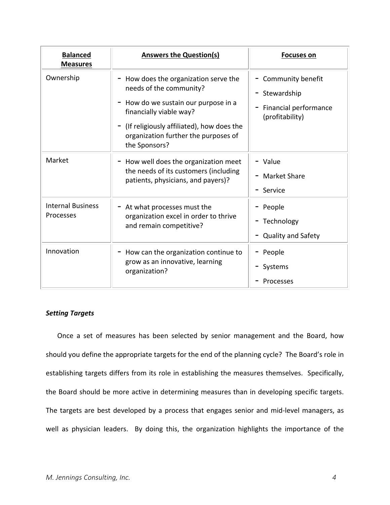| <b>Balanced</b><br><b>Measures</b>    | <b>Answers the Question(s)</b>                                                                                                                                                                                                                  | <b>Focuses on</b>                                                                |
|---------------------------------------|-------------------------------------------------------------------------------------------------------------------------------------------------------------------------------------------------------------------------------------------------|----------------------------------------------------------------------------------|
| Ownership                             | $-$ How does the organization serve the<br>needs of the community?<br>- How do we sustain our purpose in a<br>financially viable way?<br>$-$ (If religiously affiliated), how does the<br>organization further the purposes of<br>the Sponsors? | - Community benefit<br>- Stewardship<br>Financial performance<br>(profitability) |
| Market                                | - How well does the organization meet<br>the needs of its customers (including<br>patients, physicians, and payers)?                                                                                                                            | $-$ Value<br>- Market Share<br>$-$ Service                                       |
| <b>Internal Business</b><br>Processes | $-$ At what processes must the<br>organization excel in order to thrive<br>and remain competitive?                                                                                                                                              | - People<br>- Technology<br><b>Quality and Safety</b>                            |
| Innovation                            | $-$ How can the organization continue to<br>grow as an innovative, learning<br>organization?                                                                                                                                                    | - People<br>- Systems<br>Processes                                               |

# *Setting Targets*

Once a set of measures has been selected by senior management and the Board, how should you define the appropriate targets for the end of the planning cycle? The Board's role in establishing targets differs from its role in establishing the measures themselves. Specifically, the Board should be more active in determining measures than in developing specific targets. The targets are best developed by a process that engages senior and mid-level managers, as well as physician leaders. By doing this, the organization highlights the importance of the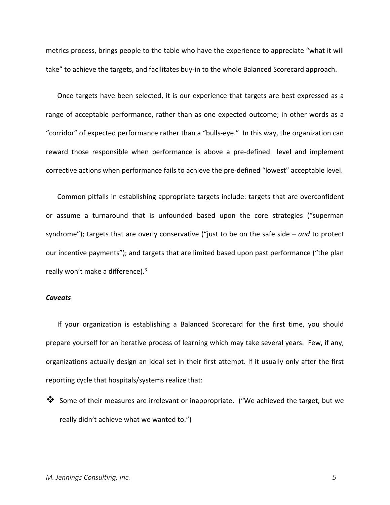metrics process, brings people to the table who have the experience to appreciate "what it will take" to achieve the targets, and facilitates buy‐in to the whole Balanced Scorecard approach.

Once targets have been selected, it is our experience that targets are best expressed as a range of acceptable performance, rather than as one expected outcome; in other words as a "corridor" of expected performance rather than a "bulls‐eye." In this way, the organization can reward those responsible when performance is above a pre-defined level and implement corrective actions when performance fails to achieve the pre‐defined "lowest" acceptable level.

Common pitfalls in establishing appropriate targets include: targets that are overconfident or assume a turnaround that is unfounded based upon the core strategies ("superman syndrome"); targets that are overly conservative ("just to be on the safe side – *and* to protect our incentive payments"); and targets that are limited based upon past performance ("the plan really won't make a difference).3

### *Caveats*

If your organization is establishing a Balanced Scorecard for the first time, you should prepare yourself for an iterative process of learning which may take several years. Few, if any, organizations actually design an ideal set in their first attempt. If it usually only after the first reporting cycle that hospitals/systems realize that:

Some of their measures are irrelevant or inappropriate. ("We achieved the target, but we really didn't achieve what we wanted to.")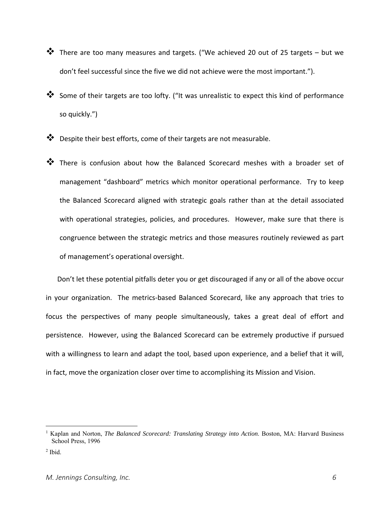- $\clubsuit$  There are too many measures and targets. ("We achieved 20 out of 25 targets but we don't feel successful since the five we did not achieve were the most important.").
- Some of their targets are too lofty. ("It was unrealistic to expect this kind of performance so quickly.")
- $\clubsuit$  Despite their best efforts, come of their targets are not measurable.
- **\*** There is confusion about how the Balanced Scorecard meshes with a broader set of management "dashboard" metrics which monitor operational performance. Try to keep the Balanced Scorecard aligned with strategic goals rather than at the detail associated with operational strategies, policies, and procedures. However, make sure that there is congruence between the strategic metrics and those measures routinely reviewed as part of management's operational oversight.

Don't let these potential pitfalls deter you or get discouraged if any or all of the above occur in your organization. The metrics-based Balanced Scorecard, like any approach that tries to focus the perspectives of many people simultaneously, takes a great deal of effort and persistence. However, using the Balanced Scorecard can be extremely productive if pursued with a willingness to learn and adapt the tool, based upon experience, and a belief that it will, in fact, move the organization closer over time to accomplishing its Mission and Vision.

 $\overline{a}$ 

<sup>&</sup>lt;sup>1</sup> Kaplan and Norton, *The Balanced Scorecard: Translating Strategy into Action*. Boston, MA: Harvard Business School Press, 1996

 $2$  Ibid.